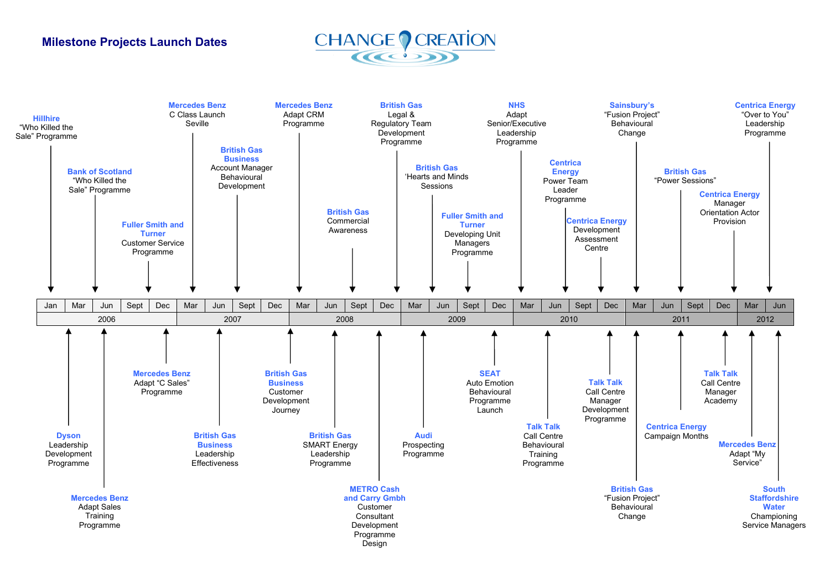## **Milestone Projects Launch Dates**



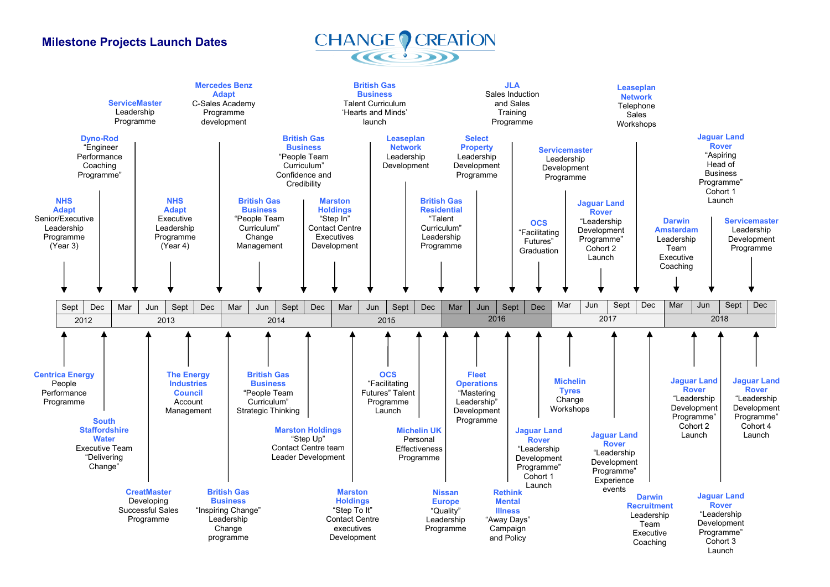## **Milestone Projects Launch Dates**